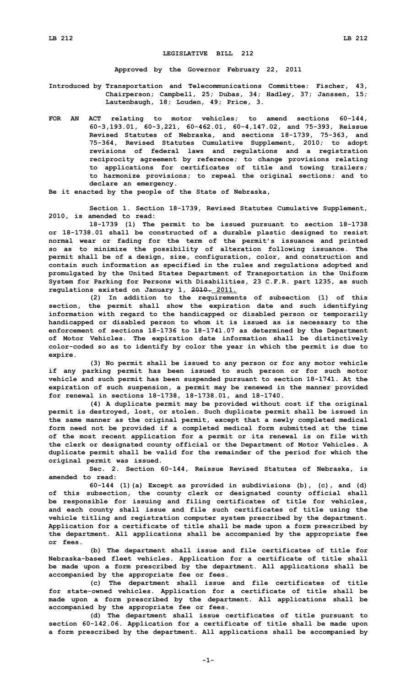## **LEGISLATIVE BILL 212**

**Approved by the Governor February 22, 2011**

**Introduced by Transportation and Telecommunications Committee: Fischer, 43, Chairperson; Campbell, 25; Dubas, 34; Hadley, 37; Janssen, 15; Lautenbaugh, 18; Louden, 49; Price, 3.**

**FOR AN ACT relating to motor vehicles; to amend sections 60-144, 60-3,193.01, 60-3,221, 60-462.01, 60-4,147.02, and 75-393, Reissue Revised Statutes of Nebraska, and sections 18-1739, 75-363, and 75-364, Revised Statutes Cumulative Supplement, 2010; to adopt revisions of federal laws and regulations and <sup>a</sup> registration reciprocity agreement by reference; to change provisions relating to applications for certificates of title and towing trailers; to harmonize provisions; to repeal the original sections; and to declare an emergency.**

**Be it enacted by the people of the State of Nebraska,**

**Section 1. Section 18-1739, Revised Statutes Cumulative Supplement, 2010, is amended to read:**

**18-1739 (1) The permit to be issued pursuant to section 18-1738 or 18-1738.01 shall be constructed of <sup>a</sup> durable plastic designed to resist normal wear or fading for the term of the permit's issuance and printed so as to minimize the possibility of alteration following issuance. The permit shall be of <sup>a</sup> design, size, configuration, color, and construction and contain such information as specified in the rules and regulations adopted and promulgated by the United States Department of Transportation in the Uniform System for Parking for Persons with Disabilities, 23 C.F.R. part 1235, as such regulations existed on January 1, 2010. 2011.**

**(2) In addition to the requirements of subsection (1) of this section, the permit shall show the expiration date and such identifying information with regard to the handicapped or disabled person or temporarily handicapped or disabled person to whom it is issued as is necessary to the enforcement of sections 18-1736 to 18-1741.07 as determined by the Department of Motor Vehicles. The expiration date information shall be distinctively color-coded so as to identify by color the year in which the permit is due to expire.**

**(3) No permit shall be issued to any person or for any motor vehicle if any parking permit has been issued to such person or for such motor vehicle and such permit has been suspended pursuant to section 18-1741. At the expiration of such suspension, <sup>a</sup> permit may be renewed in the manner provided for renewal in sections 18-1738, 18-1738.01, and 18-1740.**

**(4) <sup>A</sup> duplicate permit may be provided without cost if the original permit is destroyed, lost, or stolen. Such duplicate permit shall be issued in the same manner as the original permit, except that <sup>a</sup> newly completed medical form need not be provided if <sup>a</sup> completed medical form submitted at the time of the most recent application for <sup>a</sup> permit or its renewal is on file with the clerk or designated county official or the Department of Motor Vehicles. A duplicate permit shall be valid for the remainder of the period for which the original permit was issued.**

**Sec. 2. Section 60-144, Reissue Revised Statutes of Nebraska, is amended to read:**

**60-144 (1)(a) Except as provided in subdivisions (b), (c), and (d) of this subsection, the county clerk or designated county official shall be responsible for issuing and filing certificates of title for vehicles, and each county shall issue and file such certificates of title using the vehicle titling and registration computer system prescribed by the department. Application for <sup>a</sup> certificate of title shall be made upon <sup>a</sup> form prescribed by the department. All applications shall be accompanied by the appropriate fee or fees.**

**(b) The department shall issue and file certificates of title for Nebraska-based fleet vehicles. Application for <sup>a</sup> certificate of title shall be made upon <sup>a</sup> form prescribed by the department. All applications shall be accompanied by the appropriate fee or fees.**

**(c) The department shall issue and file certificates of title for state-owned vehicles. Application for <sup>a</sup> certificate of title shall be made upon <sup>a</sup> form prescribed by the department. All applications shall be accompanied by the appropriate fee or fees.**

**(d) The department shall issue certificates of title pursuant to section 60-142.06. Application for <sup>a</sup> certificate of title shall be made upon <sup>a</sup> form prescribed by the department. All applications shall be accompanied by**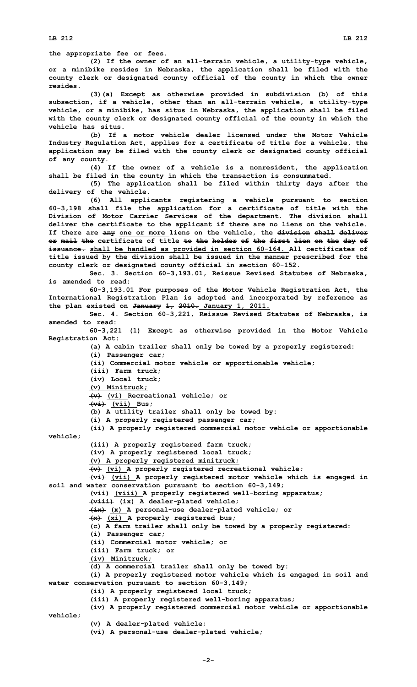**the appropriate fee or fees.**

**(2) If the owner of an all-terrain vehicle, <sup>a</sup> utility-type vehicle, or <sup>a</sup> minibike resides in Nebraska, the application shall be filed with the county clerk or designated county official of the county in which the owner resides.**

**(3)(a) Except as otherwise provided in subdivision (b) of this subsection, if <sup>a</sup> vehicle, other than an all-terrain vehicle, <sup>a</sup> utility-type vehicle, or <sup>a</sup> minibike, has situs in Nebraska, the application shall be filed with the county clerk or designated county official of the county in which the vehicle has situs.**

**(b) If <sup>a</sup> motor vehicle dealer licensed under the Motor Vehicle Industry Regulation Act, applies for <sup>a</sup> certificate of title for <sup>a</sup> vehicle, the application may be filed with the county clerk or designated county official of any county.**

**(4) If the owner of <sup>a</sup> vehicle is <sup>a</sup> nonresident, the application shall be filed in the county in which the transaction is consummated.**

**(5) The application shall be filed within thirty days after the delivery of the vehicle.**

**(6) All applicants registering <sup>a</sup> vehicle pursuant to section 60-3,198 shall file the application for <sup>a</sup> certificate of title with the Division of Motor Carrier Services of the department. The division shall deliver the certificate to the applicant if there are no liens on the vehicle. If there are any one or more liens on the vehicle, the division shall deliver or mail the certificate of title to the holder of the first lien on the day of issuance. shall be handled as provided in section 60-164. All certificates of title issued by the division shall be issued in the manner prescribed for the county clerk or designated county official in section 60-152.**

**Sec. 3. Section 60-3,193.01, Reissue Revised Statutes of Nebraska, is amended to read:**

**60-3,193.01 For purposes of the Motor Vehicle Registration Act, the International Registration Plan is adopted and incorporated by reference as the plan existed on January 1, 2010. January 1, 2011.**

**Sec. 4. Section 60-3,221, Reissue Revised Statutes of Nebraska, is amended to read:**

**60-3,221 (1) Except as otherwise provided in the Motor Vehicle Registration Act:**

**(a) <sup>A</sup> cabin trailer shall only be towed by <sup>a</sup> properly registered:**

**(i) Passenger car;**

**(ii) Commercial motor vehicle or apportionable vehicle;**

**(iii) Farm truck;**

**(iv) Local truck;**

**(v) Minitruck;**

**(v) (vi) Recreational vehicle; or**

**(vi) (vii) Bus;**

**(b) <sup>A</sup> utility trailer shall only be towed by:**

**(i) <sup>A</sup> properly registered passenger car;**

**(ii) <sup>A</sup> properly registered commercial motor vehicle or apportionable vehicle;**

**(iii) <sup>A</sup> properly registered farm truck;**

**(iv) <sup>A</sup> properly registered local truck;**

**(v) <sup>A</sup> properly registered minitruck;**

**(v) (vi) <sup>A</sup> properly registered recreational vehicle;**

**(vi) (vii) <sup>A</sup> properly registered motor vehicle which is engaged in soil and water conservation pursuant to section 60-3,149;**

**(vii) (viii) <sup>A</sup> properly registered well-boring apparatus;**

**(viii) (ix) <sup>A</sup> dealer-plated vehicle;**

**(ix) (x) <sup>A</sup> personal-use dealer-plated vehicle; or**

**(x) (xi) <sup>A</sup> properly registered bus;**

**(c) <sup>A</sup> farm trailer shall only be towed by <sup>a</sup> properly registered:**

**(i) Passenger car;**

**(ii) Commercial motor vehicle; or**

**(iii) Farm truck; or**

**(iv) Minitruck;**

**(d) <sup>A</sup> commercial trailer shall only be towed by:**

**(i) <sup>A</sup> properly registered motor vehicle which is engaged in soil and water conservation pursuant to section 60-3,149;**

**(ii) <sup>A</sup> properly registered local truck;**

**(iii) <sup>A</sup> properly registered well-boring apparatus;**

**(iv) <sup>A</sup> properly registered commercial motor vehicle or apportionable vehicle;**

**(v) <sup>A</sup> dealer-plated vehicle;**

**(vi) <sup>A</sup> personal-use dealer-plated vehicle;**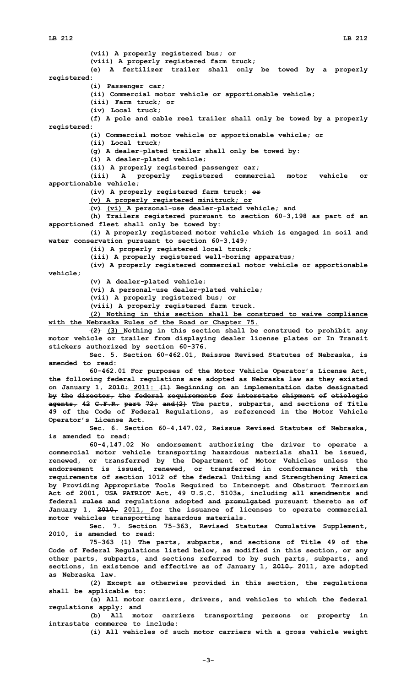**(vii) <sup>A</sup> properly registered bus; or (viii) <sup>A</sup> properly registered farm truck; (e) <sup>A</sup> fertilizer trailer shall only be towed by <sup>a</sup> properly registered: (i) Passenger car; (ii) Commercial motor vehicle or apportionable vehicle; (iii) Farm truck; or (iv) Local truck; (f) <sup>A</sup> pole and cable reel trailer shall only be towed by <sup>a</sup> properly registered: (i) Commercial motor vehicle or apportionable vehicle; or (ii) Local truck; (g) <sup>A</sup> dealer-plated trailer shall only be towed by: (i) <sup>A</sup> dealer-plated vehicle; (ii) <sup>A</sup> properly registered passenger car; (iii) <sup>A</sup> properly registered commercial motor vehicle or apportionable vehicle; (iv) <sup>A</sup> properly registered farm truck; or (v) <sup>A</sup> properly registered minitruck; or (v) (vi) <sup>A</sup> personal-use dealer-plated vehicle; and (h) Trailers registered pursuant to section 60-3,198 as part of an apportioned fleet shall only be towed by: (i) <sup>A</sup> properly registered motor vehicle which is engaged in soil and water conservation pursuant to section 60-3,149; (ii) <sup>A</sup> properly registered local truck; (iii) <sup>A</sup> properly registered well-boring apparatus; (iv) <sup>A</sup> properly registered commercial motor vehicle or apportionable vehicle; (v) <sup>A</sup> dealer-plated vehicle; (vi) <sup>A</sup> personal-use dealer-plated vehicle; (vii) <sup>A</sup> properly registered bus; or (viii) <sup>A</sup> properly registered farm truck. (2) Nothing in this section shall be construed to waive compliance with the Nebraska Rules of the Road or Chapter 75. (2) (3) Nothing in this section shall be construed to prohibit any motor vehicle or trailer from displaying dealer license plates or In Transit stickers authorized by section 60-376. Sec. 5. Section 60-462.01, Reissue Revised Statutes of Nebraska, is amended to read: 60-462.01 For purposes of the Motor Vehicle Operator's License Act, the following federal regulations are adopted as Nebraska law as they existed on January 1, 2010: 2011: (1) Beginning on an implementation date designated by the director, the federal requirements for interstate shipment of etiologic agents, 42 C.F.R. part 72; and(2) The parts, subparts, and sections of Title 49 of the Code of Federal Regulations, as referenced in the Motor Vehicle Operator's License Act. Sec. 6. Section 60-4,147.02, Reissue Revised Statutes of Nebraska, is amended to read: 60-4,147.02 No endorsement authorizing the driver to operate <sup>a</sup> commercial motor vehicle transporting hazardous materials shall be issued, renewed, or transferred by the Department of Motor Vehicles unless the endorsement is issued, renewed, or transferred in conformance with the requirements of section 1012 of the federal Uniting and Strengthening America by Providing Appropriate Tools Required to Intercept and Obstruct Terrorism Act of 2001, USA PATRIOT Act, 49 U.S.C. 5103a, including all amendments and federal rules and regulations adopted and promulgated pursuant thereto as of January 1, 2010, 2011, for the issuance of licenses to operate commercial motor vehicles transporting hazardous materials. Sec. 7. Section 75-363, Revised Statutes Cumulative Supplement, 2010, is amended to read: 75-363 (1) The parts, subparts, and sections of Title 49 of the Code of Federal Regulations listed below, as modified in this section, or any other parts, subparts, and sections referred to by such parts, subparts, and sections, in existence and effective as of January 1, 2010, 2011, are adopted as Nebraska law. (2) Except as otherwise provided in this section, the regulations shall be applicable to: (a) All motor carriers, drivers, and vehicles to which the federal regulations apply; and**

**(b) All motor carriers transporting persons or property in intrastate commerce to include:**

**(i) All vehicles of such motor carriers with <sup>a</sup> gross vehicle weight**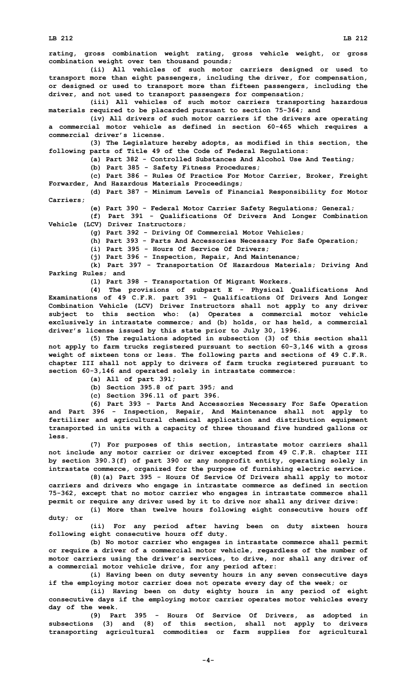**rating, gross combination weight rating, gross vehicle weight, or gross combination weight over ten thousand pounds;**

**(ii) All vehicles of such motor carriers designed or used to transport more than eight passengers, including the driver, for compensation, or designed or used to transport more than fifteen passengers, including the driver, and not used to transport passengers for compensation;**

**(iii) All vehicles of such motor carriers transporting hazardous materials required to be placarded pursuant to section 75-364; and**

**(iv) All drivers of such motor carriers if the drivers are operating <sup>a</sup> commercial motor vehicle as defined in section 60-465 which requires <sup>a</sup> commercial driver's license.**

**(3) The Legislature hereby adopts, as modified in this section, the following parts of Title 49 of the Code of Federal Regulations:**

**(a) Part 382 - Controlled Substances And Alcohol Use And Testing;**

**(b) Part 385 - Safety Fitness Procedures;**

**(c) Part 386 - Rules Of Practice For Motor Carrier, Broker, Freight Forwarder, And Hazardous Materials Proceedings;**

**(d) Part 387 - Minimum Levels of Financial Responsibility for Motor Carriers;**

**(e) Part 390 - Federal Motor Carrier Safety Regulations; General;**

**(f) Part 391 - Qualifications Of Drivers And Longer Combination Vehicle (LCV) Driver Instructors;**

**(g) Part 392 - Driving Of Commercial Motor Vehicles;**

**(h) Part 393 - Parts And Accessories Necessary For Safe Operation;**

**(i) Part 395 - Hours Of Service Of Drivers;**

**(j) Part 396 - Inspection, Repair, And Maintenance;**

**(k) Part 397 - Transportation Of Hazardous Materials; Driving And Parking Rules; and**

**(l) Part 398 - Transportation Of Migrant Workers.**

**(4) The provisions of subpart <sup>E</sup> - Physical Qualifications And Examinations of 49 C.F.R. part 391 - Qualifications Of Drivers And Longer Combination Vehicle (LCV) Driver Instructors shall not apply to any driver subject to this section who: (a) Operates <sup>a</sup> commercial motor vehicle exclusively in intrastate commerce; and (b) holds, or has held, <sup>a</sup> commercial driver's license issued by this state prior to July 30, 1996.**

**(5) The regulations adopted in subsection (3) of this section shall not apply to farm trucks registered pursuant to section 60-3,146 with <sup>a</sup> gross weight of sixteen tons or less. The following parts and sections of 49 C.F.R. chapter III shall not apply to drivers of farm trucks registered pursuant to section 60-3,146 and operated solely in intrastate commerce:**

**(a) All of part 391;**

**(b) Section 395.8 of part 395; and**

**(c) Section 396.11 of part 396.**

**(6) Part 393 - Parts And Accessories Necessary For Safe Operation and Part 396 - Inspection, Repair, And Maintenance shall not apply to fertilizer and agricultural chemical application and distribution equipment transported in units with <sup>a</sup> capacity of three thousand five hundred gallons or less.**

**(7) For purposes of this section, intrastate motor carriers shall not include any motor carrier or driver excepted from 49 C.F.R. chapter III by section 390.3(f) of part 390 or any nonprofit entity, operating solely in intrastate commerce, organized for the purpose of furnishing electric service.**

**(8)(a) Part 395 - Hours Of Service Of Drivers shall apply to motor carriers and drivers who engage in intrastate commerce as defined in section 75-362, except that no motor carrier who engages in intrastate commerce shall permit or require any driver used by it to drive nor shall any driver drive:**

**(i) More than twelve hours following eight consecutive hours off duty; or**

**(ii) For any period after having been on duty sixteen hours following eight consecutive hours off duty.**

**(b) No motor carrier who engages in intrastate commerce shall permit or require <sup>a</sup> driver of <sup>a</sup> commercial motor vehicle, regardless of the number of motor carriers using the driver's services, to drive, nor shall any driver of <sup>a</sup> commercial motor vehicle drive, for any period after:**

**(i) Having been on duty seventy hours in any seven consecutive days if the employing motor carrier does not operate every day of the week; or**

**(ii) Having been on duty eighty hours in any period of eight consecutive days if the employing motor carrier operates motor vehicles every day of the week.**

**(9) Part 395 - Hours Of Service Of Drivers, as adopted in subsections (3) and (8) of this section, shall not apply to drivers transporting agricultural commodities or farm supplies for agricultural**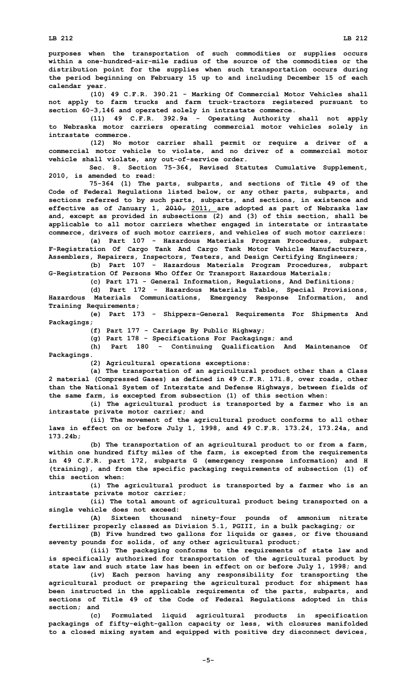**purposes when the transportation of such commodities or supplies occurs within a one-hundred-air-mile radius of the source of the commodities or the distribution point for the supplies when such transportation occurs during the period beginning on February 15 up to and including December 15 of each calendar year.**

**(10) 49 C.F.R. 390.21 - Marking Of Commercial Motor Vehicles shall not apply to farm trucks and farm truck-tractors registered pursuant to section 60-3,146 and operated solely in intrastate commerce.**

**(11) 49 C.F.R. 392.9a - Operating Authority shall not apply to Nebraska motor carriers operating commercial motor vehicles solely in intrastate commerce.**

**(12) No motor carrier shall permit or require <sup>a</sup> driver of <sup>a</sup> commercial motor vehicle to violate, and no driver of <sup>a</sup> commercial motor vehicle shall violate, any out-of-service order.**

**Sec. 8. Section 75-364, Revised Statutes Cumulative Supplement, 2010, is amended to read:**

**75-364 (1) The parts, subparts, and sections of Title 49 of the Code of Federal Regulations listed below, or any other parts, subparts, and sections referred to by such parts, subparts, and sections, in existence and effective as of January 1, 2010, 2011, are adopted as part of Nebraska law and, except as provided in subsections (2) and (3) of this section, shall be applicable to all motor carriers whether engaged in interstate or intrastate commerce, drivers of such motor carriers, and vehicles of such motor carriers:**

**(a) Part 107 - Hazardous Materials Program Procedures, subpart F-Registration Of Cargo Tank And Cargo Tank Motor Vehicle Manufacturers, Assemblers, Repairers, Inspectors, Testers, and Design Certifying Engineers;**

**(b) Part 107 - Hazardous Materials Program Procedures, subpart G-Registration Of Persons Who Offer Or Transport Hazardous Materials;**

**(c) Part 171 - General Information, Regulations, And Definitions;**

**(d) Part 172 - Hazardous Materials Table, Special Provisions, Hazardous Materials Communications, Emergency Response Information, and Training Requirements;**

**(e) Part 173 - Shippers-General Requirements For Shipments And Packagings;**

**(f) Part 177 - Carriage By Public Highway;**

**(g) Part 178 - Specifications For Packagings; and**

**(h) Part 180 - Continuing Qualification And Maintenance Of Packagings.**

**(2) Agricultural operations exceptions:**

**(a) The transportation of an agricultural product other than <sup>a</sup> Class 2 material (Compressed Gases) as defined in 49 C.F.R. 171.8, over roads, other than the National System of Interstate and Defense Highways, between fields of the same farm, is excepted from subsection (1) of this section when:**

**(i) The agricultural product is transported by <sup>a</sup> farmer who is an intrastate private motor carrier; and**

**(ii) The movement of the agricultural product conforms to all other laws in effect on or before July 1, 1998, and 49 C.F.R. 173.24, 173.24a, and 173.24b;**

**(b) The transportation of an agricultural product to or from <sup>a</sup> farm, within one hundred fifty miles of the farm, is excepted from the requirements in 49 C.F.R. part 172, subparts G (emergency response information) and <sup>H</sup> (training), and from the specific packaging requirements of subsection (1) of this section when:**

**(i) The agricultural product is transported by <sup>a</sup> farmer who is an intrastate private motor carrier;**

**(ii) The total amount of agricultural product being transported on <sup>a</sup> single vehicle does not exceed:**

**(A) Sixteen thousand ninety-four pounds of ammonium nitrate fertilizer properly classed as Division 5.1, PGIII, in <sup>a</sup> bulk packaging; or**

**(B) Five hundred two gallons for liquids or gases, or five thousand seventy pounds for solids, of any other agricultural product;**

**(iii) The packaging conforms to the requirements of state law and is specifically authorized for transportation of the agricultural product by state law and such state law has been in effect on or before July 1, 1998; and**

**(iv) Each person having any responsibility for transporting the agricultural product or preparing the agricultural product for shipment has been instructed in the applicable requirements of the parts, subparts, and sections of Title 49 of the Code of Federal Regulations adopted in this section; and**

**(c) Formulated liquid agricultural products in specification packagings of fifty-eight-gallon capacity or less, with closures manifolded to <sup>a</sup> closed mixing system and equipped with positive dry disconnect devices,**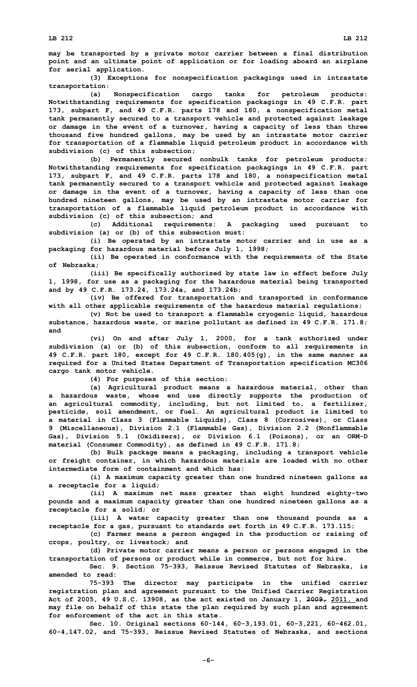**may be transported by <sup>a</sup> private motor carrier between <sup>a</sup> final distribution point and an ultimate point of application or for loading aboard an airplane for aerial application.**

**(3) Exceptions for nonspecification packagings used in intrastate transportation:**

**(a) Nonspecification cargo tanks for petroleum products: Notwithstanding requirements for specification packagings in 49 C.F.R. part 173, subpart F, and 49 C.F.R. parts 178 and 180, <sup>a</sup> nonspecification metal tank permanently secured to <sup>a</sup> transport vehicle and protected against leakage or damage in the event of <sup>a</sup> turnover, having <sup>a</sup> capacity of less than three thousand five hundred gallons, may be used by an intrastate motor carrier for transportation of <sup>a</sup> flammable liquid petroleum product in accordance with subdivision (c) of this subsection;**

**(b) Permanently secured nonbulk tanks for petroleum products: Notwithstanding requirements for specification packagings in 49 C.F.R. part 173, subpart F, and 49 C.F.R. parts 178 and 180, <sup>a</sup> nonspecification metal tank permanently secured to <sup>a</sup> transport vehicle and protected against leakage or damage in the event of <sup>a</sup> turnover, having <sup>a</sup> capacity of less than one hundred nineteen gallons, may be used by an intrastate motor carrier for transportation of <sup>a</sup> flammable liquid petroleum product in accordance with subdivision (c) of this subsection; and**

**(c) Additional requirements: <sup>A</sup> packaging used pursuant to subdivision (a) or (b) of this subsection must:**

**(i) Be operated by an intrastate motor carrier and in use as <sup>a</sup> packaging for hazardous material before July 1, 1998;**

**(ii) Be operated in conformance with the requirements of the State of Nebraska;**

**(iii) Be specifically authorized by state law in effect before July 1, 1998, for use as <sup>a</sup> packaging for the hazardous material being transported and by 49 C.F.R. 173.24, 173.24a, and 173.24b;**

**(iv) Be offered for transportation and transported in conformance with all other applicable requirements of the hazardous material regulations;**

**(v) Not be used to transport <sup>a</sup> flammable cryogenic liquid, hazardous substance, hazardous waste, or marine pollutant as defined in 49 C.F.R. 171.8; and**

**(vi) On and after July 1, 2000, for <sup>a</sup> tank authorized under subdivision (a) or (b) of this subsection, conform to all requirements in 49 C.F.R. part 180, except for 49 C.F.R. 180.405(g), in the same manner as required for <sup>a</sup> United States Department of Transportation specification MC306 cargo tank motor vehicle.**

**(4) For purposes of this section:**

**(a) Agricultural product means <sup>a</sup> hazardous material, other than <sup>a</sup> hazardous waste, whose end use directly supports the production of an agricultural commodity, including, but not limited to, <sup>a</sup> fertilizer, pesticide, soil amendment, or fuel. An agricultural product is limited to <sup>a</sup> material in Class 3 (Flammable Liquids), Class 8 (Corrosives), or Class 9 (Miscellaneous), Division 2.1 (Flammable Gas), Division 2.2 (Nonflammable Gas), Division 5.1 (Oxidizers), or Division 6.1 (Poisons), or an ORM-D material (Consumer Commodity), as defined in 49 C.F.R. 171.8;**

**(b) Bulk package means <sup>a</sup> packaging, including <sup>a</sup> transport vehicle or freight container, in which hazardous materials are loaded with no other intermediate form of containment and which has:**

**(i) <sup>A</sup> maximum capacity greater than one hundred nineteen gallons as <sup>a</sup> receptacle for <sup>a</sup> liquid;**

**(ii) <sup>A</sup> maximum net mass greater than eight hundred eighty-two pounds and <sup>a</sup> maximum capacity greater than one hundred nineteen gallons as <sup>a</sup> receptacle for <sup>a</sup> solid; or**

**(iii) <sup>A</sup> water capacity greater than one thousand pounds as <sup>a</sup> receptacle for <sup>a</sup> gas, pursuant to standards set forth in 49 C.F.R. 173.115;**

**(c) Farmer means <sup>a</sup> person engaged in the production or raising of crops, poultry, or livestock; and**

**(d) Private motor carrier means <sup>a</sup> person or persons engaged in the transportation of persons or product while in commerce, but not for hire.**

**Sec. 9. Section 75-393, Reissue Revised Statutes of Nebraska, is amended to read:**

**75-393 The director may participate in the unified carrier registration plan and agreement pursuant to the Unified Carrier Registration Act of 2005, 49 U.S.C. 13908, as the act existed on January 1, 2009, 2011, and may file on behalf of this state the plan required by such plan and agreement for enforcement of the act in this state.**

**Sec. 10. Original sections 60-144, 60-3,193.01, 60-3,221, 60-462.01, 60-4,147.02, and 75-393, Reissue Revised Statutes of Nebraska, and sections**